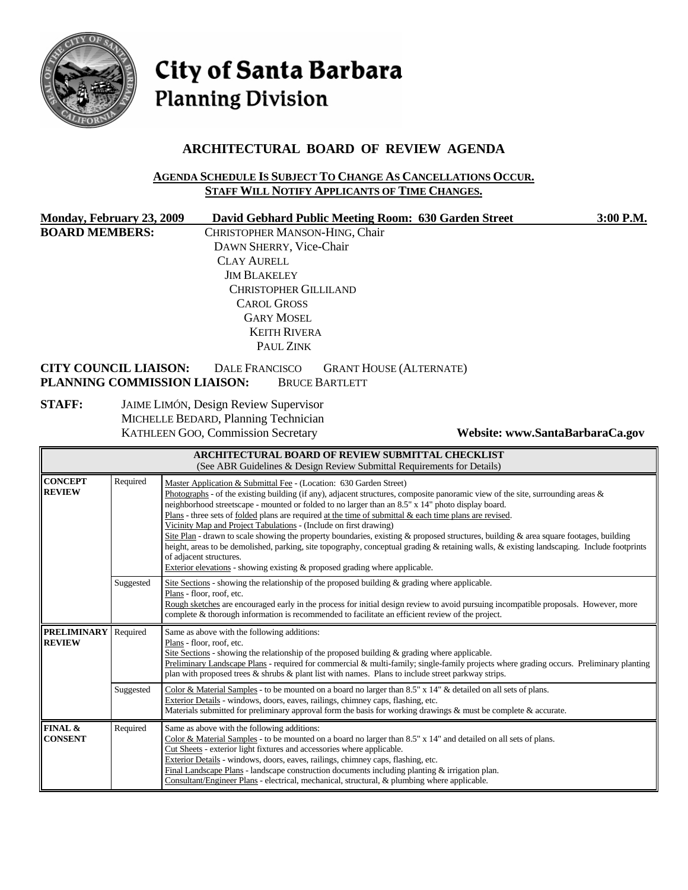

# City of Santa Barbara **Planning Division**

# **ARCHITECTURAL BOARD OF REVIEW AGENDA**

#### **AGENDA SCHEDULE IS SUBJECT TO CHANGE AS CANCELLATIONS OCCUR. STAFF WILL NOTIFY APPLICANTS OF TIME CHANGES.**

| Monday, February 23, 2009    | David Gebhard Public Meeting Room: 630 Garden Street                                                             | 3:00 P.M. |
|------------------------------|------------------------------------------------------------------------------------------------------------------|-----------|
| <b>BOARD MEMBERS:</b>        | CHRISTOPHER MANSON-HING, Chair                                                                                   |           |
|                              | DAWN SHERRY, Vice-Chair                                                                                          |           |
|                              | <b>CLAY AURELL</b>                                                                                               |           |
|                              | <b>JIM BLAKELEY</b>                                                                                              |           |
|                              | <b>CHRISTOPHER GILLILAND</b>                                                                                     |           |
|                              | <b>CAROL GROSS</b>                                                                                               |           |
|                              | <b>GARY MOSEL</b>                                                                                                |           |
|                              | <b>KEITH RIVERA</b>                                                                                              |           |
|                              | PAUL ZINK                                                                                                        |           |
| <b>CITY COUNCIL LIAISON:</b> | <b>GRANT HOUSE (ALTERNATE)</b><br><b>DALE FRANCISCO</b><br>PLANNING COMMISSION LIAISON:<br><b>BRUCE BARTLETT</b> |           |
| <b>STAFF:</b>                | <b>JAIME LIMÓN, Design Review Supervisor</b><br>MICHELLE BEDARD, Planning Technician                             |           |

KATHLEEN GOO, Commission Secretary **Website: www.SantaBarbaraCa.gov** 

| <b>ARCHITECTURAL BOARD OF REVIEW SUBMITTAL CHECKLIST</b><br>(See ABR Guidelines & Design Review Submittal Requirements for Details) |           |                                                                                                                                                                                                                                                                                                                                                                                                                                                                                                                                                                                                                                                                                                                                                                                                                                                                                                      |  |  |  |
|-------------------------------------------------------------------------------------------------------------------------------------|-----------|------------------------------------------------------------------------------------------------------------------------------------------------------------------------------------------------------------------------------------------------------------------------------------------------------------------------------------------------------------------------------------------------------------------------------------------------------------------------------------------------------------------------------------------------------------------------------------------------------------------------------------------------------------------------------------------------------------------------------------------------------------------------------------------------------------------------------------------------------------------------------------------------------|--|--|--|
| <b>CONCEPT</b><br><b>REVIEW</b>                                                                                                     | Required  | Master Application & Submittal Fee - (Location: 630 Garden Street)<br>Photographs - of the existing building (if any), adjacent structures, composite panoramic view of the site, surrounding areas $\&$<br>neighborhood streetscape - mounted or folded to no larger than an 8.5" x 14" photo display board.<br>Plans - three sets of folded plans are required at the time of submittal $\&$ each time plans are revised.<br>Vicinity Map and Project Tabulations - (Include on first drawing)<br>Site Plan - drawn to scale showing the property boundaries, existing & proposed structures, building & area square footages, building<br>height, areas to be demolished, parking, site topography, conceptual grading & retaining walls, & existing landscaping. Include footprints<br>of adjacent structures.<br>Exterior elevations - showing existing $\&$ proposed grading where applicable. |  |  |  |
|                                                                                                                                     | Suggested | Site Sections - showing the relationship of the proposed building & grading where applicable.<br>Plans - floor, roof, etc.<br>Rough sketches are encouraged early in the process for initial design review to avoid pursuing incompatible proposals. However, more<br>complete & thorough information is recommended to facilitate an efficient review of the project.                                                                                                                                                                                                                                                                                                                                                                                                                                                                                                                               |  |  |  |
| <b>PRELIMINARY</b><br><b>REVIEW</b>                                                                                                 | Required  | Same as above with the following additions:<br>Plans - floor, roof, etc.<br>Site Sections - showing the relationship of the proposed building $\&$ grading where applicable.<br>Preliminary Landscape Plans - required for commercial & multi-family; single-family projects where grading occurs. Preliminary planting<br>plan with proposed trees & shrubs & plant list with names. Plans to include street parkway strips.                                                                                                                                                                                                                                                                                                                                                                                                                                                                        |  |  |  |
|                                                                                                                                     | Suggested | Color & Material Samples - to be mounted on a board no larger than 8.5" x 14" & detailed on all sets of plans.<br>Exterior Details - windows, doors, eaves, railings, chimney caps, flashing, etc.<br>Materials submitted for preliminary approval form the basis for working drawings & must be complete & accurate.                                                                                                                                                                                                                                                                                                                                                                                                                                                                                                                                                                                |  |  |  |
| FINAL &<br><b>CONSENT</b>                                                                                                           | Required  | Same as above with the following additions:<br>Color & Material Samples - to be mounted on a board no larger than $8.5" \times 14"$ and detailed on all sets of plans.<br>Cut Sheets - exterior light fixtures and accessories where applicable.<br>Exterior Details - windows, doors, eaves, railings, chimney caps, flashing, etc.<br>Final Landscape Plans - landscape construction documents including planting $\&$ irrigation plan.<br>Consultant/Engineer Plans - electrical, mechanical, structural, & plumbing where applicable.                                                                                                                                                                                                                                                                                                                                                            |  |  |  |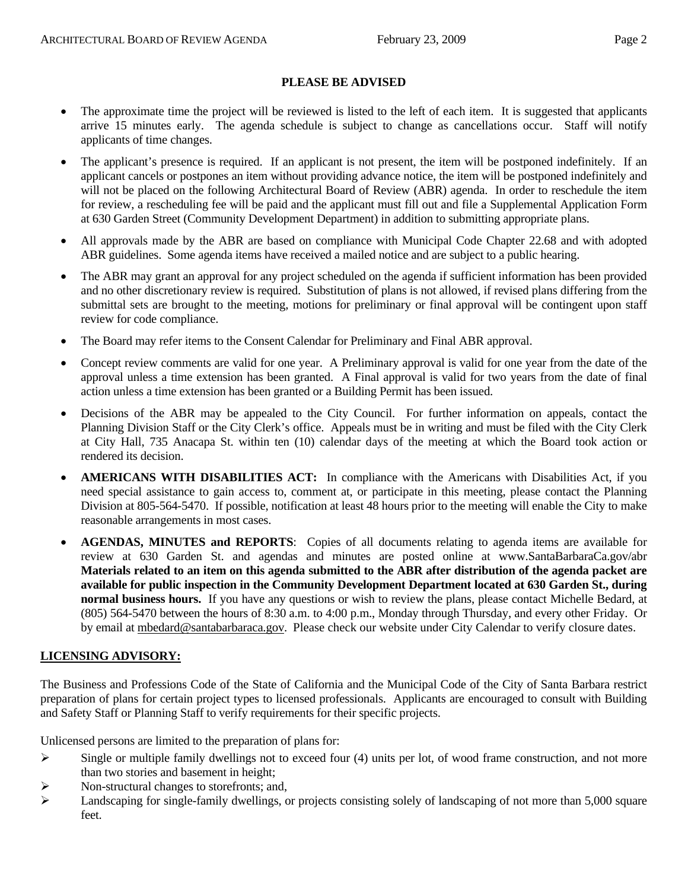#### **PLEASE BE ADVISED**

- The approximate time the project will be reviewed is listed to the left of each item. It is suggested that applicants arrive 15 minutes early. The agenda schedule is subject to change as cancellations occur. Staff will notify applicants of time changes.
- The applicant's presence is required. If an applicant is not present, the item will be postponed indefinitely. If an applicant cancels or postpones an item without providing advance notice, the item will be postponed indefinitely and will not be placed on the following Architectural Board of Review (ABR) agenda. In order to reschedule the item for review, a rescheduling fee will be paid and the applicant must fill out and file a Supplemental Application Form at 630 Garden Street (Community Development Department) in addition to submitting appropriate plans.
- All approvals made by the ABR are based on compliance with Municipal Code Chapter 22.68 and with adopted ABR guidelines. Some agenda items have received a mailed notice and are subject to a public hearing.
- The ABR may grant an approval for any project scheduled on the agenda if sufficient information has been provided and no other discretionary review is required. Substitution of plans is not allowed, if revised plans differing from the submittal sets are brought to the meeting, motions for preliminary or final approval will be contingent upon staff review for code compliance.
- The Board may refer items to the Consent Calendar for Preliminary and Final ABR approval.
- Concept review comments are valid for one year. A Preliminary approval is valid for one year from the date of the approval unless a time extension has been granted. A Final approval is valid for two years from the date of final action unless a time extension has been granted or a Building Permit has been issued.
- Decisions of the ABR may be appealed to the City Council. For further information on appeals, contact the Planning Division Staff or the City Clerk's office. Appeals must be in writing and must be filed with the City Clerk at City Hall, 735 Anacapa St. within ten (10) calendar days of the meeting at which the Board took action or rendered its decision.
- **AMERICANS WITH DISABILITIES ACT:** In compliance with the Americans with Disabilities Act, if you need special assistance to gain access to, comment at, or participate in this meeting, please contact the Planning Division at 805-564-5470. If possible, notification at least 48 hours prior to the meeting will enable the City to make reasonable arrangements in most cases.
- **AGENDAS, MINUTES and REPORTS**: Copies of all documents relating to agenda items are available for review at 630 Garden St. and agendas and minutes are posted online at [www.SantaBarbaraCa.gov/abr](http://www.santabarbaraca.gov/abr) **Materials related to an item on this agenda submitted to the ABR after distribution of the agenda packet are available for public inspection in the Community Development Department located at 630 Garden St., during normal business hours.** If you have any questions or wish to review the plans, please contact Michelle Bedard, at (805) 564-5470 between the hours of 8:30 a.m. to 4:00 p.m., Monday through Thursday, and every other Friday. Or by email at [mbedard@santabarbaraca.gov](mailto:mbedard@santabarbaraca.gov). Please check our website under City Calendar to verify closure dates.

#### **LICENSING ADVISORY:**

The Business and Professions Code of the State of California and the Municipal Code of the City of Santa Barbara restrict preparation of plans for certain project types to licensed professionals. Applicants are encouraged to consult with Building and Safety Staff or Planning Staff to verify requirements for their specific projects.

Unlicensed persons are limited to the preparation of plans for:

- $\triangleright$  Single or multiple family dwellings not to exceed four (4) units per lot, of wood frame construction, and not more than two stories and basement in height;
- ¾ Non-structural changes to storefronts; and,
- $\blacktriangleright$  Landscaping for single-family dwellings, or projects consisting solely of landscaping of not more than 5,000 square feet.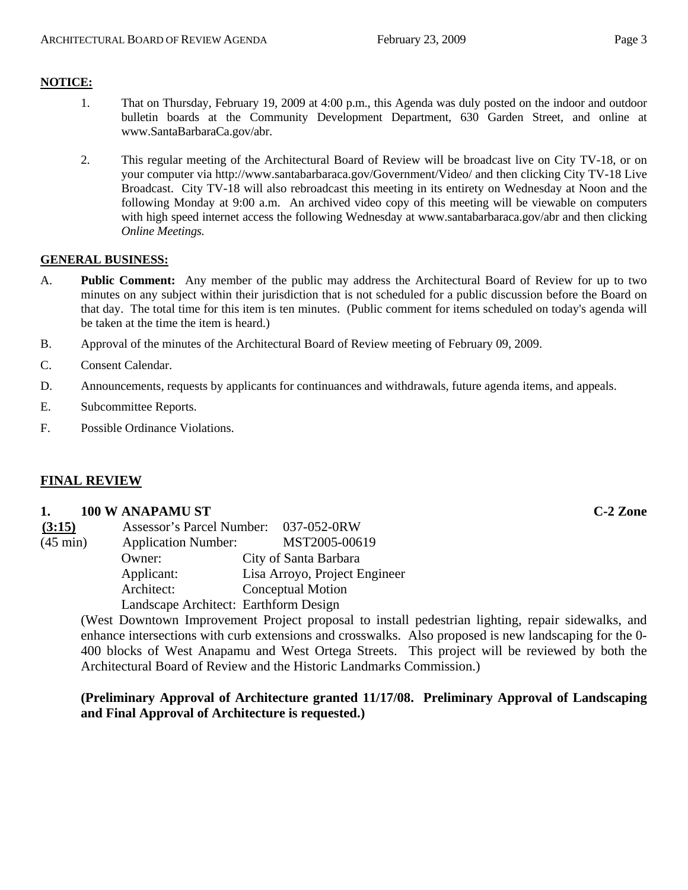## **NOTICE:**

- 1. That on Thursday, February 19, 2009 at 4:00 p.m., this Agenda was duly posted on the indoor and outdoor bulletin boards at the Community Development Department, 630 Garden Street, and online at [www.SantaBarbaraCa.gov/abr.](http://www.santabarbaraca.gov/abr)
- 2. This regular meeting of the Architectural Board of Review will be broadcast live on City TV-18, or on your computer via <http://www.santabarbaraca.gov/Government/Video/> and then clicking City TV-18 Live Broadcast. City TV-18 will also rebroadcast this meeting in its entirety on Wednesday at Noon and the following Monday at 9:00 a.m. An archived video copy of this meeting will be viewable on computers with high speed internet access the following Wednesday at [www.santabarbaraca.gov/abr](http://www.santabarbaraca.gov/abr) and then clicking *Online Meetings.*

#### **GENERAL BUSINESS:**

- A. **Public Comment:** Any member of the public may address the Architectural Board of Review for up to two minutes on any subject within their jurisdiction that is not scheduled for a public discussion before the Board on that day. The total time for this item is ten minutes. (Public comment for items scheduled on today's agenda will be taken at the time the item is heard.)
- B. Approval of the minutes of the Architectural Board of Review meeting of February 09, 2009.
- C. Consent Calendar.
- D. Announcements, requests by applicants for continuances and withdrawals, future agenda items, and appeals.
- E. Subcommittee Reports.
- F. Possible Ordinance Violations.

## **FINAL REVIEW**

#### **1. 100 W ANAPAMU ST C-2 Zone**

| (3:15)             | Assessor's Parcel Number: 037-052-0RW |                               |
|--------------------|---------------------------------------|-------------------------------|
| $(45 \text{ min})$ | <b>Application Number:</b>            | MST2005-00619                 |
|                    | Owner:                                | City of Santa Barbara         |
|                    | Applicant:                            | Lisa Arroyo, Project Engineer |
|                    | Architect:                            | <b>Conceptual Motion</b>      |
|                    | Landscape Architect: Earthform Design |                               |

(West Downtown Improvement Project proposal to install pedestrian lighting, repair sidewalks, and enhance intersections with curb extensions and crosswalks. Also proposed is new landscaping for the 0- 400 blocks of West Anapamu and West Ortega Streets. This project will be reviewed by both the Architectural Board of Review and the Historic Landmarks Commission.)

## **(Preliminary Approval of Architecture granted 11/17/08. Preliminary Approval of Landscaping and Final Approval of Architecture is requested.)**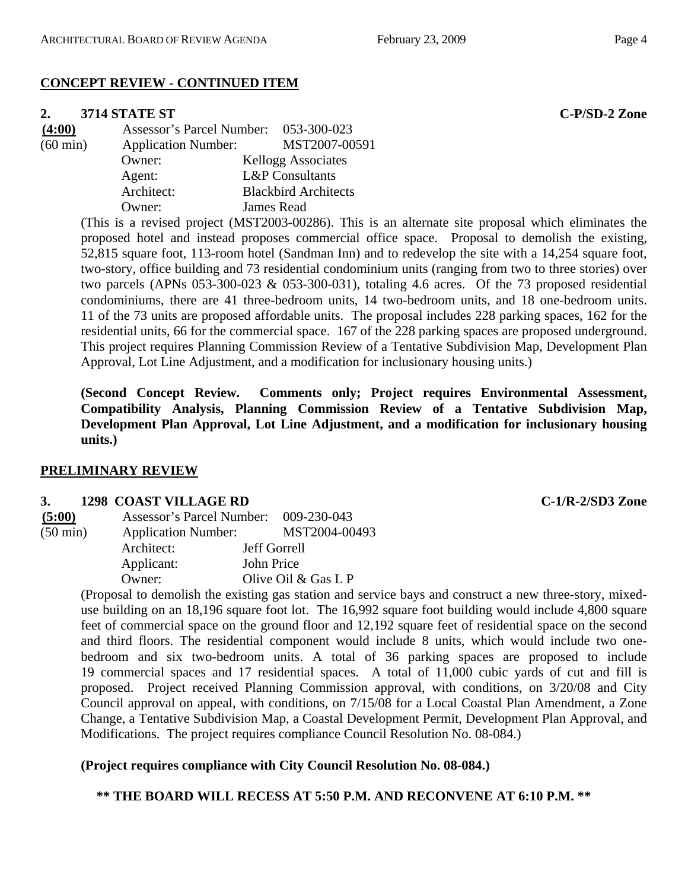## **CONCEPT REVIEW - CONTINUED ITEM**

#### **2. 3714 STATE ST C-P/SD-2 Zone**

| (4:00)             | Assessor's Parcel Number: 053-300-023 |                             |
|--------------------|---------------------------------------|-----------------------------|
| $(60 \text{ min})$ | <b>Application Number:</b>            | MST2007-00591               |
|                    | Owner:                                | Kellogg Associates          |
|                    | Agent:                                | <b>L&amp;P</b> Consultants  |
|                    | Architect:                            | <b>Blackbird Architects</b> |
|                    | Owner:                                | James Read                  |

(This is a revised project (MST2003-00286). This is an alternate site proposal which eliminates the proposed hotel and instead proposes commercial office space. Proposal to demolish the existing, 52,815 square foot, 113-room hotel (Sandman Inn) and to redevelop the site with a 14,254 square foot, two-story, office building and 73 residential condominium units (ranging from two to three stories) over two parcels (APNs 053-300-023 & 053-300-031), totaling 4.6 acres. Of the 73 proposed residential condominiums, there are 41 three-bedroom units, 14 two-bedroom units, and 18 one-bedroom units. 11 of the 73 units are proposed affordable units. The proposal includes 228 parking spaces, 162 for the residential units, 66 for the commercial space. 167 of the 228 parking spaces are proposed underground. This project requires Planning Commission Review of a Tentative Subdivision Map, Development Plan Approval, Lot Line Adjustment, and a modification for inclusionary housing units.)

**(Second Concept Review. Comments only; Project requires Environmental Assessment, Compatibility Analysis, Planning Commission Review of a Tentative Subdivision Map, Development Plan Approval, Lot Line Adjustment, and a modification for inclusionary housing units.)** 

#### **PRELIMINARY REVIEW**

#### **3. 1298 COAST VILLAGE RD C-1/R-2/SD3 Zone**

| (5:00)             | Assessor's Parcel Number: 009-230-043 |                       |
|--------------------|---------------------------------------|-----------------------|
| $(50 \text{ min})$ | <b>Application Number:</b>            | MST2004-00493         |
|                    | Architect:                            | <b>Jeff Gorrell</b>   |
|                    | Applicant:                            | John Price            |
|                    | Owner:                                | Olive Oil $&$ Gas L P |

(Proposal to demolish the existing gas station and service bays and construct a new three-story, mixeduse building on an 18,196 square foot lot. The 16,992 square foot building would include 4,800 square feet of commercial space on the ground floor and 12,192 square feet of residential space on the second and third floors. The residential component would include 8 units, which would include two onebedroom and six two-bedroom units. A total of 36 parking spaces are proposed to include 19 commercial spaces and 17 residential spaces. A total of 11,000 cubic yards of cut and fill is proposed. Project received Planning Commission approval, with conditions, on 3/20/08 and City Council approval on appeal, with conditions, on 7/15/08 for a Local Coastal Plan Amendment, a Zone Change, a Tentative Subdivision Map, a Coastal Development Permit, Development Plan Approval, and Modifications. The project requires compliance Council Resolution No. 08-084.)

## **(Project requires compliance with City Council Resolution No. 08-084.)**

**\*\* THE BOARD WILL RECESS AT 5:50 P.M. AND RECONVENE AT 6:10 P.M. \*\***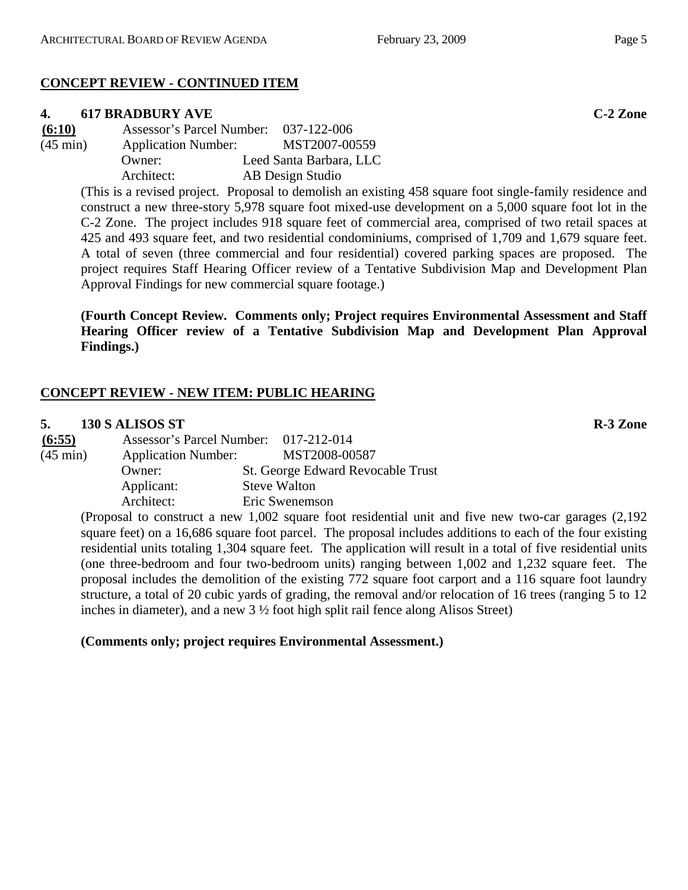# **CONCEPT REVIEW - CONTINUED ITEM**

# **4. 617 BRADBURY AVE C-2 Zone**

**(6:10)** Assessor's Parcel Number: 037-122-006 (45 min) Application Number: MST2007-00559 Owner: Leed Santa Barbara, LLC Architect: AB Design Studio

> (This is a revised project. Proposal to demolish an existing 458 square foot single-family residence and construct a new three-story 5,978 square foot mixed-use development on a 5,000 square foot lot in the C-2 Zone. The project includes 918 square feet of commercial area, comprised of two retail spaces at 425 and 493 square feet, and two residential condominiums, comprised of 1,709 and 1,679 square feet. A total of seven (three commercial and four residential) covered parking spaces are proposed. The project requires Staff Hearing Officer review of a Tentative Subdivision Map and Development Plan Approval Findings for new commercial square footage.)

> **(Fourth Concept Review. Comments only; Project requires Environmental Assessment and Staff Hearing Officer review of a Tentative Subdivision Map and Development Plan Approval Findings.)**

# **CONCEPT REVIEW - NEW ITEM: PUBLIC HEARING**

# **5. 130 S ALISOS ST R-3 Zone**

**(6:55)** Assessor's Parcel Number: 017-212-014 (45 min) Application Number: MST2008-00587 Owner: St. George Edward Revocable Trust Applicant: Steve Walton Architect: Eric Swenemson

(Proposal to construct a new 1,002 square foot residential unit and five new two-car garages (2,192 square feet) on a 16,686 square foot parcel. The proposal includes additions to each of the four existing residential units totaling 1,304 square feet. The application will result in a total of five residential units (one three-bedroom and four two-bedroom units) ranging between 1,002 and 1,232 square feet. The proposal includes the demolition of the existing 772 square foot carport and a 116 square foot laundry structure, a total of 20 cubic yards of grading, the removal and/or relocation of 16 trees (ranging 5 to 12 inches in diameter), and a new  $3\frac{1}{2}$  foot high split rail fence along Alisos Street)

# **(Comments only; project requires Environmental Assessment.)**